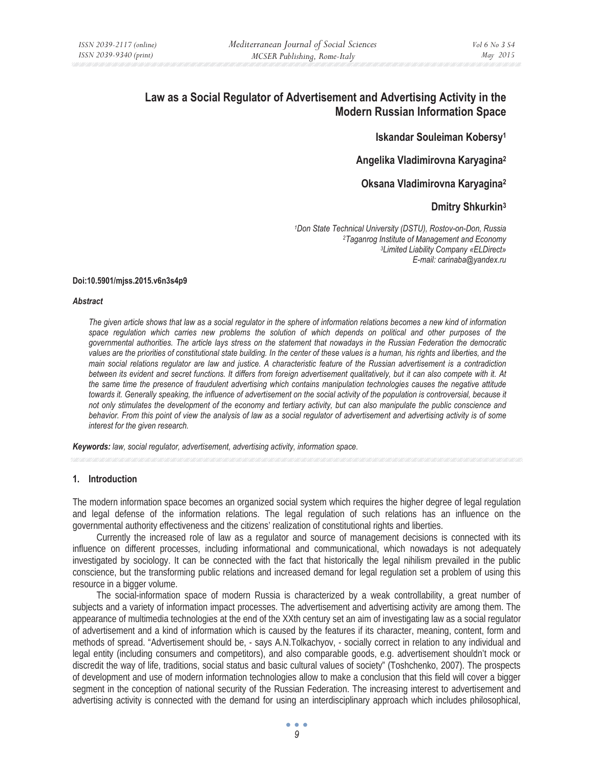# **Law as a Social Regulator of Advertisement and Advertising Activity in the Modern Russian Information Space**

**Iskandar Souleiman Kobersy1**

**Angelika Vladimirovna Karyagina2**

**Oksana Vladimirovna Karyagina2**

# **Dmitry Shkurkin3**

*1Don State Technical University (DSTU), Rostov-on-Don, Russia 2Taganrog Institute of Management and Economy 3Limited Liability Company «ELDirect» E-mail: carinaba@yandex.ru* 

### **Doi:10.5901/mjss.2015.v6n3s4p9**

#### *Abstract*

*The given article shows that law as a social regulator in the sphere of information relations becomes a new kind of information* space regulation which carries new problems the solution of which depends on political and other purposes of the *governmental authorities. The article lays stress on the statement that nowadays in the Russian Federation the democratic*  values are the priorities of constitutional state building. In the center of these values is a human, his rights and liberties, and the *main social relations regulator are law and justice. A characteristic feature of the Russian advertisement is a contradiction between its evident and secret functions. It differs from foreign advertisement qualitatively, but it can also compete with it. At the same time the presence of fraudulent advertising which contains manipulation technologies causes the negative attitude*  towards it. Generally speaking, the influence of advertisement on the social activity of the population is controversial, because it *not only stimulates the development of the economy and tertiary activity, but can also manipulate the public conscience and behavior. From this point of view the analysis of law as a social regulator of advertisement and advertising activity is of some interest for the given research.* 

*Keywords: law, social regulator, advertisement, advertising activity, information space.*

### **1. Introduction**

The modern information space becomes an organized social system which requires the higher degree of legal regulation and legal defense of the information relations. The legal regulation of such relations has an influence on the governmental authority effectiveness and the citizens' realization of constitutional rights and liberties.

Currently the increased role of law as a regulator and source of management decisions is connected with its influence on different processes, including informational and communicational, which nowadays is not adequately investigated by sociology. It can be connected with the fact that historically the legal nihilism prevailed in the public conscience, but the transforming public relations and increased demand for legal regulation set a problem of using this resource in a bigger volume.

The social-information space of modern Russia is characterized by a weak controllability, a great number of subjects and a variety of information impact processes. The advertisement and advertising activity are among them. The appearance of multimedia technologies at the end of the XXth century set an aim of investigating law as a social regulator of advertisement and a kind of information which is caused by the features if its character, meaning, content, form and methods of spread. "Advertisement should be, - says A.N.Tolkachyov, - socially correct in relation to any individual and legal entity (including consumers and competitors), and also comparable goods, e.g. advertisement shouldn't mock or discredit the way of life, traditions, social status and basic cultural values of society" (Toshchenko, 2007). The prospects of development and use of modern information technologies allow to make a conclusion that this field will cover a bigger segment in the conception of national security of the Russian Federation. The increasing interest to advertisement and advertising activity is connected with the demand for using an interdisciplinary approach which includes philosophical,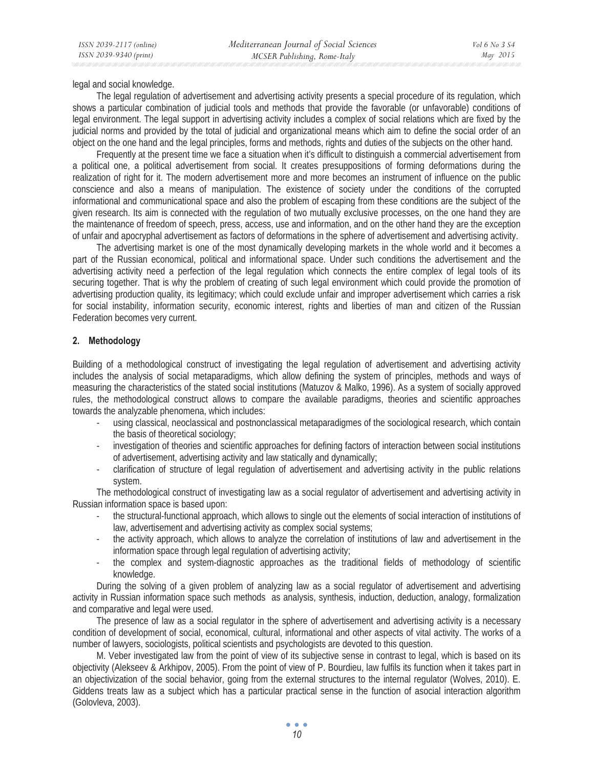legal and social knowledge.

The legal regulation of advertisement and advertising activity presents a special procedure of its regulation, which shows a particular combination of judicial tools and methods that provide the favorable (or unfavorable) conditions of legal environment. The legal support in advertising activity includes a complex of social relations which are fixed by the judicial norms and provided by the total of judicial and organizational means which aim to define the social order of an object on the one hand and the legal principles, forms and methods, rights and duties of the subjects on the other hand.

Frequently at the present time we face a situation when it's difficult to distinguish a commercial advertisement from a political one, a political advertisement from social. It creates presuppositions of forming deformations during the realization of right for it. The modern advertisement more and more becomes an instrument of influence on the public conscience and also a means of manipulation. The existence of society under the conditions of the corrupted informational and communicational space and also the problem of escaping from these conditions are the subject of the given research. Its aim is connected with the regulation of two mutually exclusive processes, on the one hand they are the maintenance of freedom of speech, press, access, use and information, and on the other hand they are the exception of unfair and apocryphal advertisement as factors of deformations in the sphere of advertisement and advertising activity.

The advertising market is one of the most dynamically developing markets in the whole world and it becomes a part of the Russian economical, political and informational space. Under such conditions the advertisement and the advertising activity need a perfection of the legal regulation which connects the entire complex of legal tools of its securing together. That is why the problem of creating of such legal environment which could provide the promotion of advertising production quality, its legitimacy; which could exclude unfair and improper advertisement which carries a risk for social instability, information security, economic interest, rights and liberties of man and citizen of the Russian Federation becomes very current.

# **2. Methodology**

Building of a methodological construct of investigating the legal regulation of advertisement and advertising activity includes the analysis of social metaparadigms, which allow defining the system of principles, methods and ways of measuring the characteristics of the stated social institutions (Matuzov & Malko, 1996). As a system of socially approved rules, the methodological construct allows to compare the available paradigms, theories and scientific approaches towards the analyzable phenomena, which includes:

- using classical, neoclassical and postnonclassical metaparadigmes of the sociological research, which contain the basis of theoretical sociology;
- investigation of theories and scientific approaches for defining factors of interaction between social institutions of advertisement, advertising activity and law statically and dynamically;
- clarification of structure of legal regulation of advertisement and advertising activity in the public relations system.

The methodological construct of investigating law as a social regulator of advertisement and advertising activity in Russian information space is based upon:

- the structural-functional approach, which allows to single out the elements of social interaction of institutions of law, advertisement and advertising activity as complex social systems;
- the activity approach, which allows to analyze the correlation of institutions of law and advertisement in the information space through legal regulation of advertising activity;
- the complex and system-diagnostic approaches as the traditional fields of methodology of scientific knowledge.

During the solving of a given problem of analyzing law as a social regulator of advertisement and advertising activity in Russian information space such methods as analysis, synthesis, induction, deduction, analogy, formalization and comparative and legal were used.

The presence of law as a social regulator in the sphere of advertisement and advertising activity is a necessary condition of development of social, economical, cultural, informational and other aspects of vital activity. The works of a number of lawyers, sociologists, political scientists and psychologists are devoted to this question.

M. Veber investigated law from the point of view of its subjective sense in contrast to legal, which is based on its objectivity (Alekseev & Arkhipov, 2005). From the point of view of P. Bourdieu, law fulfils its function when it takes part in an objectivization of the social behavior, going from the external structures to the internal regulator (Wolves, 2010). E. Giddens treats law as a subject which has a particular practical sense in the function of asocial interaction algorithm (Golovleva, 2003).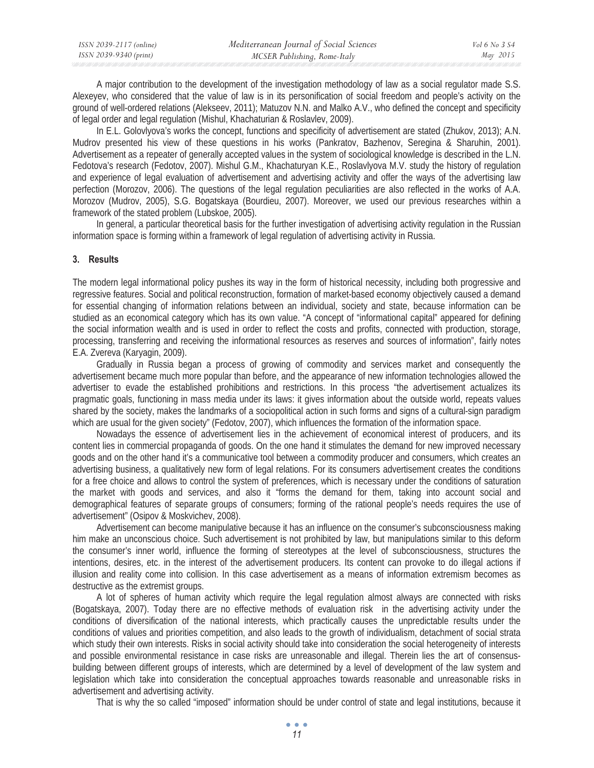| ISSN 2039-2117 (online) | Mediterranean Journal of Social Sciences | Vol 6 No 3 S4 |
|-------------------------|------------------------------------------|---------------|
| ISSN 2039-9340 (print)  | MCSER Publishing, Rome-Italy             | May 2015      |

A major contribution to the development of the investigation methodology of law as a social regulator made S.S. Alexeyev, who considered that the value of law is in its personification of social freedom and people's activity on the ground of well-ordered relations (Alekseev, 2011); Matuzov N.N. and Malko A.V., who defined the concept and specificity of legal order and legal regulation (Mishul, Khachaturian & Roslavlev, 2009).

In E.L. Golovlyova's works the concept, functions and specificity of advertisement are stated (Zhukov, 2013); A.N. Mudrov presented his view of these questions in his works (Pankratov, Bazhenov, Seregina & Sharuhin, 2001). Advertisement as a repeater of generally accepted values in the system of sociological knowledge is described in the L.N. Fedotova's research (Fedotov, 2007). Mishul G.M., Khachaturyan K.E., Roslavlyova M.V. study the history of regulation and experience of legal evaluation of advertisement and advertising activity and offer the ways of the advertising law perfection (Morozov, 2006). The questions of the legal regulation peculiarities are also reflected in the works of A.A. Morozov (Mudrov, 2005), S.G. Bogatskaya (Bourdieu, 2007). Moreover, we used our previous researches within a framework of the stated problem (Lubskoe, 2005).

In general, a particular theoretical basis for the further investigation of advertising activity regulation in the Russian information space is forming within a framework of legal regulation of advertising activity in Russia.

### **3. Results**

The modern legal informational policy pushes its way in the form of historical necessity, including both progressive and regressive features. Social and political reconstruction, formation of market-based economy objectively caused a demand for essential changing of information relations between an individual, society and state, because information can be studied as an economical category which has its own value. "A concept of "informational capital" appeared for defining the social information wealth and is used in order to reflect the costs and profits, connected with production, storage, processing, transferring and receiving the informational resources as reserves and sources of information", fairly notes E.A. Zvereva (Karyagin, 2009).

Gradually in Russia began a process of growing of commodity and services market and consequently the advertisement became much more popular than before, and the appearance of new information technologies allowed the advertiser to evade the established prohibitions and restrictions. In this process "the advertisement actualizes its pragmatic goals, functioning in mass media under its laws: it gives information about the outside world, repeats values shared by the society, makes the landmarks of a sociopolitical action in such forms and signs of a cultural-sign paradigm which are usual for the given society" (Fedotov, 2007), which influences the formation of the information space.

Nowadays the essence of advertisement lies in the achievement of economical interest of producers, and its content lies in commercial propaganda of goods. On the one hand it stimulates the demand for new improved necessary goods and on the other hand it's a communicative tool between a commodity producer and consumers, which creates an advertising business, a qualitatively new form of legal relations. For its consumers advertisement creates the conditions for a free choice and allows to control the system of preferences, which is necessary under the conditions of saturation the market with goods and services, and also it "forms the demand for them, taking into account social and demographical features of separate groups of consumers; forming of the rational people's needs requires the use of advertisement" (Osipov & Moskvichev, 2008).

Advertisement can become manipulative because it has an influence on the consumer's subconsciousness making him make an unconscious choice. Such advertisement is not prohibited by law, but manipulations similar to this deform the consumer's inner world, influence the forming of stereotypes at the level of subconsciousness, structures the intentions, desires, etc. in the interest of the advertisement producers. Its content can provoke to do illegal actions if illusion and reality come into collision. In this case advertisement as a means of information extremism becomes as destructive as the extremist groups.

A lot of spheres of human activity which require the legal regulation almost always are connected with risks (Bogatskaya, 2007). Today there are no effective methods of evaluation risk in the advertising activity under the conditions of diversification of the national interests, which practically causes the unpredictable results under the conditions of values and priorities competition, and also leads to the growth of individualism, detachment of social strata which study their own interests. Risks in social activity should take into consideration the social heterogeneity of interests and possible environmental resistance in case risks are unreasonable and illegal. Therein lies the art of consensusbuilding between different groups of interests, which are determined by a level of development of the law system and legislation which take into consideration the conceptual approaches towards reasonable and unreasonable risks in advertisement and advertising activity.

That is why the so called "imposed" information should be under control of state and legal institutions, because it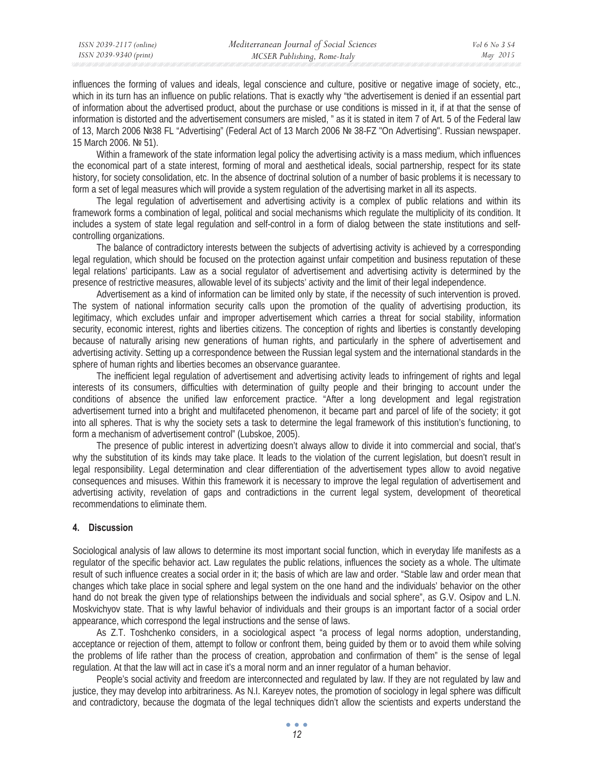influences the forming of values and ideals, legal conscience and culture, positive or negative image of society, etc., which in its turn has an influence on public relations. That is exactly why "the advertisement is denied if an essential part of information about the advertised product, about the purchase or use conditions is missed in it, if at that the sense of information is distorted and the advertisement consumers are misled, " as it is stated in item 7 of Art. 5 of the Federal law of 13, March 2006 №38 FL "Advertising" (Federal Act of 13 March 2006 № 38-FZ "On Advertising". Russian newspaper. 15 March 2006. № 51).

Within a framework of the state information legal policy the advertising activity is a mass medium, which influences the economical part of a state interest, forming of moral and aesthetical ideals, social partnership, respect for its state history, for society consolidation, etc. In the absence of doctrinal solution of a number of basic problems it is necessary to form a set of legal measures which will provide a system regulation of the advertising market in all its aspects.

The legal regulation of advertisement and advertising activity is a complex of public relations and within its framework forms a combination of legal, political and social mechanisms which regulate the multiplicity of its condition. It includes a system of state legal regulation and self-control in a form of dialog between the state institutions and selfcontrolling organizations.

The balance of contradictory interests between the subjects of advertising activity is achieved by a corresponding legal regulation, which should be focused on the protection against unfair competition and business reputation of these legal relations' participants. Law as a social regulator of advertisement and advertising activity is determined by the presence of restrictive measures, allowable level of its subjects' activity and the limit of their legal independence.

Advertisement as a kind of information can be limited only by state, if the necessity of such intervention is proved. The system of national information security calls upon the promotion of the quality of advertising production, its legitimacy, which excludes unfair and improper advertisement which carries a threat for social stability, information security, economic interest, rights and liberties citizens. The conception of rights and liberties is constantly developing because of naturally arising new generations of human rights, and particularly in the sphere of advertisement and advertising activity. Setting up a correspondence between the Russian legal system and the international standards in the sphere of human rights and liberties becomes an observance guarantee.

The inefficient legal regulation of advertisement and advertising activity leads to infringement of rights and legal interests of its consumers, difficulties with determination of guilty people and their bringing to account under the conditions of absence the unified law enforcement practice. "After a long development and legal registration advertisement turned into a bright and multifaceted phenomenon, it became part and parcel of life of the society; it got into all spheres. That is why the society sets a task to determine the legal framework of this institution's functioning, to form a mechanism of advertisement control" (Lubskoe, 2005).

The presence of public interest in advertizing doesn't always allow to divide it into commercial and social, that's why the substitution of its kinds may take place. It leads to the violation of the current legislation, but doesn't result in legal responsibility. Legal determination and clear differentiation of the advertisement types allow to avoid negative consequences and misuses. Within this framework it is necessary to improve the legal regulation of advertisement and advertising activity, revelation of gaps and contradictions in the current legal system, development of theoretical recommendations to eliminate them.

## **4. Discussion**

Sociological analysis of law allows to determine its most important social function, which in everyday life manifests as a regulator of the specific behavior act. Law regulates the public relations, influences the society as a whole. The ultimate result of such influence creates a social order in it; the basis of which are law and order. "Stable law and order mean that changes which take place in social sphere and legal system on the one hand and the individuals' behavior on the other hand do not break the given type of relationships between the individuals and social sphere", as G.V. Osipov and L.N. Moskvichyov state. That is why lawful behavior of individuals and their groups is an important factor of a social order appearance, which correspond the legal instructions and the sense of laws.

As Z.T. Toshchenko considers, in a sociological aspect "a process of legal norms adoption, understanding, acceptance or rejection of them, attempt to follow or confront them, being guided by them or to avoid them while solving the problems of life rather than the process of creation, approbation and confirmation of them" is the sense of legal regulation. At that the law will act in case it's a moral norm and an inner regulator of a human behavior.

People's social activity and freedom are interconnected and regulated by law. If they are not regulated by law and justice, they may develop into arbitrariness. As N.I. Kareyev notes, the promotion of sociology in legal sphere was difficult and contradictory, because the dogmata of the legal techniques didn't allow the scientists and experts understand the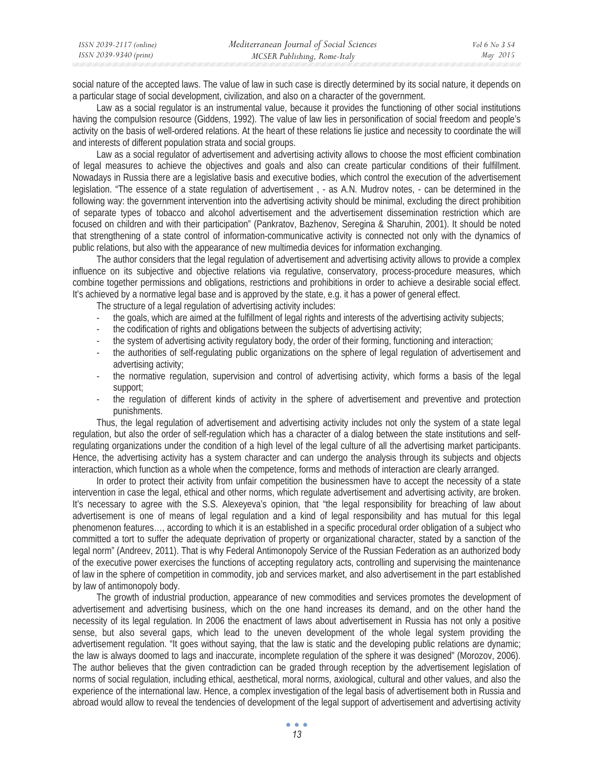| ISSN 2039-2117 (online) | Mediterranean Journal of Social Sciences | Vol 6 No 3 S4 |
|-------------------------|------------------------------------------|---------------|
| ISSN 2039-9340 (print)  | MCSER Publishing, Rome-Italy             | May 2015      |

social nature of the accepted laws. The value of law in such case is directly determined by its social nature, it depends on a particular stage of social development, civilization, and also on a character of the government.

Law as a social regulator is an instrumental value, because it provides the functioning of other social institutions having the compulsion resource (Giddens, 1992). The value of law lies in personification of social freedom and people's activity on the basis of well-ordered relations. At the heart of these relations lie justice and necessity to coordinate the will and interests of different population strata and social groups.

Law as a social regulator of advertisement and advertising activity allows to choose the most efficient combination of legal measures to achieve the objectives and goals and also can create particular conditions of their fulfillment. Nowadays in Russia there are a legislative basis and executive bodies, which control the execution of the advertisement legislation. "The essence of a state regulation of advertisement , - as A.N. Mudrov notes, - can be determined in the following way: the government intervention into the advertising activity should be minimal, excluding the direct prohibition of separate types of tobacco and alcohol advertisement and the advertisement dissemination restriction which are focused on children and with their participation" (Pankratov, Bazhenov, Seregina & Sharuhin, 2001). It should be noted that strengthening of a state control of information-communicative activity is connected not only with the dynamics of public relations, but also with the appearance of new multimedia devices for information exchanging.

The author considers that the legal regulation of advertisement and advertising activity allows to provide a complex influence on its subjective and objective relations via regulative, conservatory, process-procedure measures, which combine together permissions and obligations, restrictions and prohibitions in order to achieve a desirable social effect. It's achieved by a normative legal base and is approved by the state, e.g. it has a power of general effect.

The structure of a legal regulation of advertising activity includes:

- the goals, which are aimed at the fulfillment of legal rights and interests of the advertising activity subjects;
- the codification of rights and obligations between the subjects of advertising activity;
- the system of advertising activity regulatory body, the order of their forming, functioning and interaction;
- the authorities of self-regulating public organizations on the sphere of legal regulation of advertisement and advertising activity;
- the normative regulation, supervision and control of advertising activity, which forms a basis of the legal support;
- the regulation of different kinds of activity in the sphere of advertisement and preventive and protection punishments.

Thus, the legal regulation of advertisement and advertising activity includes not only the system of a state legal regulation, but also the order of self-regulation which has a character of a dialog between the state institutions and selfregulating organizations under the condition of a high level of the legal culture of all the advertising market participants. Hence, the advertising activity has a system character and can undergo the analysis through its subjects and objects interaction, which function as a whole when the competence, forms and methods of interaction are clearly arranged.

In order to protect their activity from unfair competition the businessmen have to accept the necessity of a state intervention in case the legal, ethical and other norms, which regulate advertisement and advertising activity, are broken. It's necessary to agree with the S.S. Alexeyeva's opinion, that "the legal responsibility for breaching of law about advertisement is one of means of legal regulation and a kind of legal responsibility and has mutual for this legal phenomenon features…, according to which it is an established in a specific procedural order obligation of a subject who committed a tort to suffer the adequate deprivation of property or organizational character, stated by a sanction of the legal norm" (Andreev, 2011). That is why Federal Antimonopoly Service of the Russian Federation as an authorized body of the executive power exercises the functions of accepting regulatory acts, controlling and supervising the maintenance of law in the sphere of competition in commodity, job and services market, and also advertisement in the part established by law of antimonopoly body.

The growth of industrial production, appearance of new commodities and services promotes the development of advertisement and advertising business, which on the one hand increases its demand, and on the other hand the necessity of its legal regulation. In 2006 the enactment of laws about advertisement in Russia has not only a positive sense, but also several gaps, which lead to the uneven development of the whole legal system providing the advertisement regulation. "It goes without saying, that the law is static and the developing public relations are dynamic; the law is always doomed to lags and inaccurate, incomplete regulation of the sphere it was designed" (Morozov, 2006). The author believes that the given contradiction can be graded through reception by the advertisement legislation of norms of social regulation, including ethical, aesthetical, moral norms, axiological, cultural and other values, and also the experience of the international law. Hence, a complex investigation of the legal basis of advertisement both in Russia and abroad would allow to reveal the tendencies of development of the legal support of advertisement and advertising activity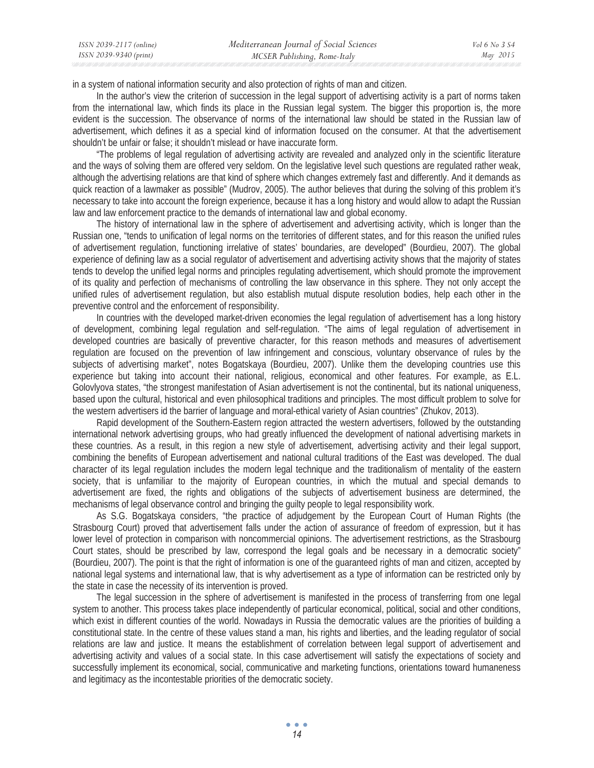| ISSN 2039-2117 (online) | Mediterranean Journal of Social Sciences | Vol 6 No 3 S4 |
|-------------------------|------------------------------------------|---------------|
| ISSN 2039-9340 (print)  | MCSER Publishing, Rome-Italy             | May 2015      |

in a system of national information security and also protection of rights of man and citizen.

In the author's view the criterion of succession in the legal support of advertising activity is a part of norms taken from the international law, which finds its place in the Russian legal system. The bigger this proportion is, the more evident is the succession. The observance of norms of the international law should be stated in the Russian law of advertisement, which defines it as a special kind of information focused on the consumer. At that the advertisement shouldn't be unfair or false; it shouldn't mislead or have inaccurate form.

"The problems of legal regulation of advertising activity are revealed and analyzed only in the scientific literature and the ways of solving them are offered very seldom. On the legislative level such questions are regulated rather weak, although the advertising relations are that kind of sphere which changes extremely fast and differently. And it demands as quick reaction of a lawmaker as possible" (Mudrov, 2005). The author believes that during the solving of this problem it's necessary to take into account the foreign experience, because it has a long history and would allow to adapt the Russian law and law enforcement practice to the demands of international law and global economy.

The history of international law in the sphere of advertisement and advertising activity, which is longer than the Russian one, "tends to unification of legal norms on the territories of different states, and for this reason the unified rules of advertisement regulation, functioning irrelative of states' boundaries, are developed" (Bourdieu, 2007). The global experience of defining law as a social regulator of advertisement and advertising activity shows that the majority of states tends to develop the unified legal norms and principles regulating advertisement, which should promote the improvement of its quality and perfection of mechanisms of controlling the law observance in this sphere. They not only accept the unified rules of advertisement regulation, but also establish mutual dispute resolution bodies, help each other in the preventive control and the enforcement of responsibility.

In countries with the developed market-driven economies the legal regulation of advertisement has a long history of development, combining legal regulation and self-regulation. "The aims of legal regulation of advertisement in developed countries are basically of preventive character, for this reason methods and measures of advertisement regulation are focused on the prevention of law infringement and conscious, voluntary observance of rules by the subjects of advertising market", notes Bogatskaya (Bourdieu, 2007). Unlike them the developing countries use this experience but taking into account their national, religious, economical and other features. For example, as E.L. Golovlyova states, "the strongest manifestation of Asian advertisement is not the continental, but its national uniqueness, based upon the cultural, historical and even philosophical traditions and principles. The most difficult problem to solve for the western advertisers id the barrier of language and moral-ethical variety of Asian countries" (Zhukov, 2013).

Rapid development of the Southern-Eastern region attracted the western advertisers, followed by the outstanding international network advertising groups, who had greatly influenced the development of national advertising markets in these countries. As a result, in this region a new style of advertisement, advertising activity and their legal support, combining the benefits of European advertisement and national cultural traditions of the East was developed. The dual character of its legal regulation includes the modern legal technique and the traditionalism of mentality of the eastern society, that is unfamiliar to the majority of European countries, in which the mutual and special demands to advertisement are fixed, the rights and obligations of the subjects of advertisement business are determined, the mechanisms of legal observance control and bringing the guilty people to legal responsibility work.

As S.G. Bogatskaya considers, "the practice of adjudgement by the European Court of Human Rights (the Strasbourg Court) proved that advertisement falls under the action of assurance of freedom of expression, but it has lower level of protection in comparison with noncommercial opinions. The advertisement restrictions, as the Strasbourg Court states, should be prescribed by law, correspond the legal goals and be necessary in a democratic society" (Bourdieu, 2007). The point is that the right of information is one of the guaranteed rights of man and citizen, accepted by national legal systems and international law, that is why advertisement as a type of information can be restricted only by the state in case the necessity of its intervention is proved.

The legal succession in the sphere of advertisement is manifested in the process of transferring from one legal system to another. This process takes place independently of particular economical, political, social and other conditions, which exist in different counties of the world. Nowadays in Russia the democratic values are the priorities of building a constitutional state. In the centre of these values stand a man, his rights and liberties, and the leading regulator of social relations are law and justice. It means the establishment of correlation between legal support of advertisement and advertising activity and values of a social state. In this case advertisement will satisfy the expectations of society and successfully implement its economical, social, communicative and marketing functions, orientations toward humaneness and legitimacy as the incontestable priorities of the democratic society.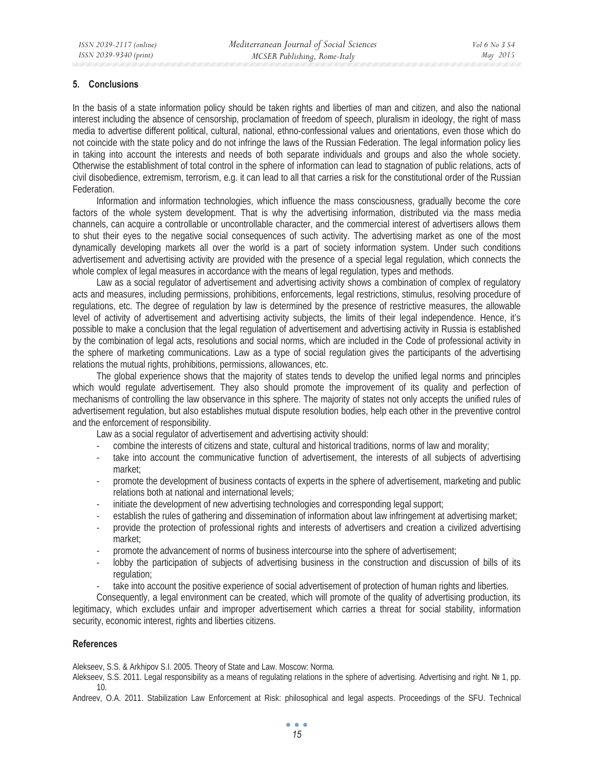### **5. Conclusions**

In the basis of a state information policy should be taken rights and liberties of man and citizen, and also the national interest including the absence of censorship, proclamation of freedom of speech, pluralism in ideology, the right of mass media to advertise different political, cultural, national, ethno-confessional values and orientations, even those which do not coincide with the state policy and do not infringe the laws of the Russian Federation. The legal information policy lies in taking into account the interests and needs of both separate individuals and groups and also the whole society. Otherwise the establishment of total control in the sphere of information can lead to stagnation of public relations, acts of civil disobedience, extremism, terrorism, e.g. it can lead to all that carries a risk for the constitutional order of the Russian Federation.

Information and information technologies, which influence the mass consciousness, gradually become the core factors of the whole system development. That is why the advertising information, distributed via the mass media channels, can acquire a controllable or uncontrollable character, and the commercial interest of advertisers allows them to shut their eyes to the negative social consequences of such activity. The advertising market as one of the most dynamically developing markets all over the world is a part of society information system. Under such conditions advertisement and advertising activity are provided with the presence of a special legal regulation, which connects the whole complex of legal measures in accordance with the means of legal regulation, types and methods.

Law as a social regulator of advertisement and advertising activity shows a combination of complex of regulatory acts and measures, including permissions, prohibitions, enforcements, legal restrictions, stimulus, resolving procedure of regulations, etc. The degree of regulation by law is determined by the presence of restrictive measures, the allowable level of activity of advertisement and advertising activity subjects, the limits of their legal independence. Hence, it's possible to make a conclusion that the legal regulation of advertisement and advertising activity in Russia is established by the combination of legal acts, resolutions and social norms, which are included in the Code of professional activity in the sphere of marketing communications. Law as a type of social regulation gives the participants of the advertising relations the mutual rights, prohibitions, permissions, allowances, etc.

The global experience shows that the majority of states tends to develop the unified legal norms and principles which would regulate advertisement. They also should promote the improvement of its quality and perfection of mechanisms of controlling the law observance in this sphere. The majority of states not only accepts the unified rules of advertisement regulation, but also establishes mutual dispute resolution bodies, help each other in the preventive control and the enforcement of responsibility.

Law as a social regulator of advertisement and advertising activity should:

- combine the interests of citizens and state, cultural and historical traditions, norms of law and morality;
- take into account the communicative function of advertisement, the interests of all subjects of advertising market;
- promote the development of business contacts of experts in the sphere of advertisement, marketing and public relations both at national and international levels;
- initiate the development of new advertising technologies and corresponding legal support;
- establish the rules of gathering and dissemination of information about law infringement at advertising market;
- provide the protection of professional rights and interests of advertisers and creation a civilized advertising market;
- promote the advancement of norms of business intercourse into the sphere of advertisement;
- lobby the participation of subjects of advertising business in the construction and discussion of bills of its regulation;
- take into account the positive experience of social advertisement of protection of human rights and liberties.

Consequently, a legal environment can be created, which will promote of the quality of advertising production, its legitimacy, which excludes unfair and improper advertisement which carries a threat for social stability, information security, economic interest, rights and liberties citizens.

### **References**

Alekseev, S.S. & Arkhipov S.I. 2005. Theory of State and Law. Moscow: Norma.

Alekseev, S.S. 2011. Legal responsibility as a means of regulating relations in the sphere of advertising. Advertising and right. № 1, pp. 10.

Andreev, O.A. 2011. Stabilization Law Enforcement at Risk: philosophical and legal aspects. Proceedings of the SFU. Technical